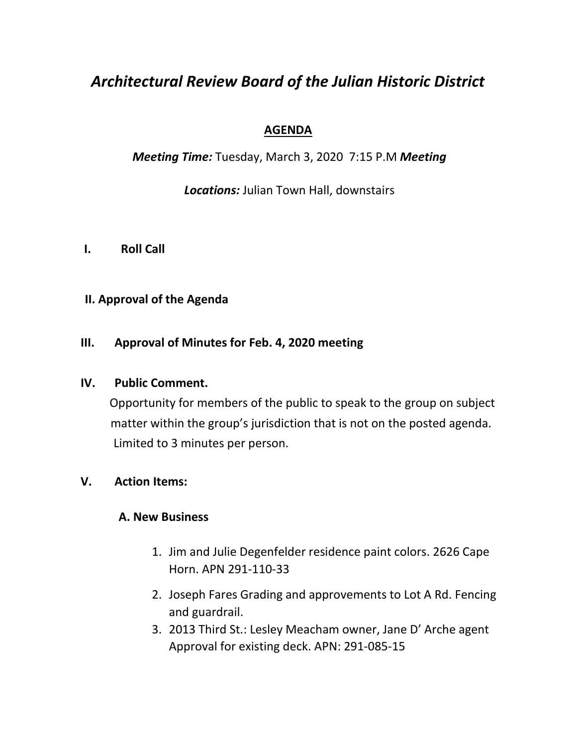# *Architectural Review Board of the Julian Historic District*

## **AGENDA**

*Meeting Time:* Tuesday, March 3, 2020 7:15 P.M *Meeting* 

*Locations:* Julian Town Hall, downstairs

**I. Roll Call** 

# **II. Approval of the Agenda**

## **III. Approval of Minutes for Feb. 4, 2020 meeting**

#### **IV. Public Comment.**

 Opportunity for members of the public to speak to the group on subject matter within the group's jurisdiction that is not on the posted agenda. Limited to 3 minutes per person.

## **V. Action Items:**

## **A. New Business**

- 1. Jim and Julie Degenfelder residence paint colors. 2626 Cape Horn. APN 291-110-33
- 2. Joseph Fares Grading and approvements to Lot A Rd. Fencing and guardrail.
- 3. 2013 Third St.: Lesley Meacham owner, Jane D' Arche agent Approval for existing deck. APN: 291-085-15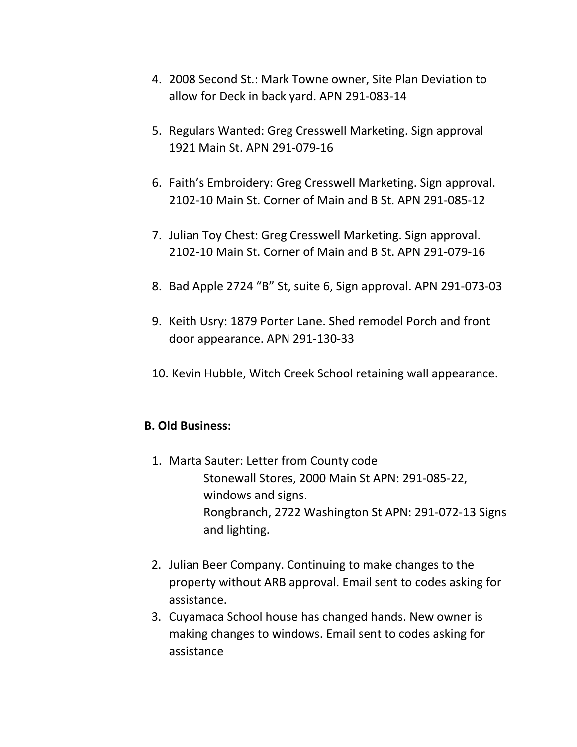- 4. 2008 Second St.: Mark Towne owner, Site Plan Deviation to allow for Deck in back yard. APN 291-083-14
- 5. Regulars Wanted: Greg Cresswell Marketing. Sign approval 1921 Main St. APN 291-079-16
- 6. Faith's Embroidery: Greg Cresswell Marketing. Sign approval. 2102-10 Main St. Corner of Main and B St. APN 291-085-12
- 7. Julian Toy Chest: Greg Cresswell Marketing. Sign approval. 2102-10 Main St. Corner of Main and B St. APN 291-079-16
- 8. Bad Apple 2724 "B" St, suite 6, Sign approval. APN 291-073-03
- 9. Keith Usry: 1879 Porter Lane. Shed remodel Porch and front door appearance. APN 291-130-33
- 10. Kevin Hubble, Witch Creek School retaining wall appearance.

#### **B. Old Business:**

- 1. Marta Sauter: Letter from County code Stonewall Stores, 2000 Main St APN: 291-085-22, windows and signs. Rongbranch, 2722 Washington St APN: 291-072-13 Signs and lighting.
- 2. Julian Beer Company. Continuing to make changes to the property without ARB approval. Email sent to codes asking for assistance.
- 3. Cuyamaca School house has changed hands. New owner is making changes to windows. Email sent to codes asking for assistance